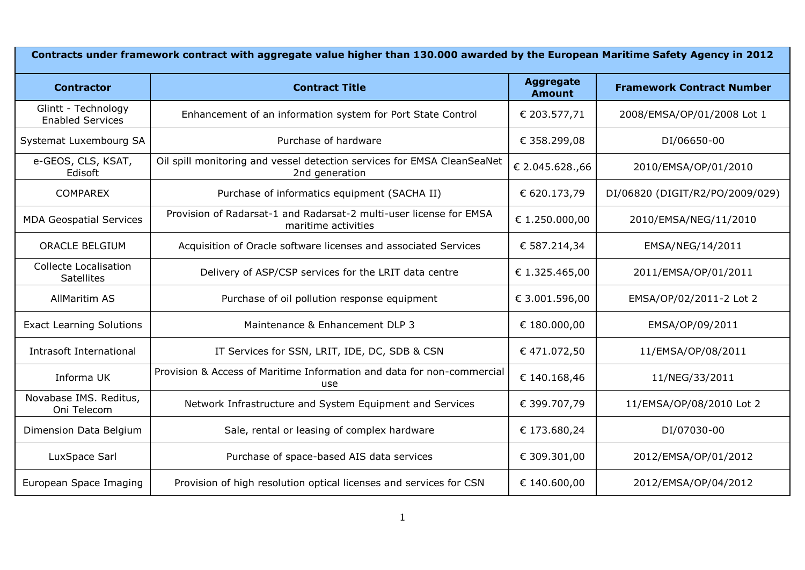| Contracts under framework contract with aggregate value higher than 130.000 awarded by the European Maritime Safety Agency in 2012 |                                                                                           |                                   |                                  |  |
|------------------------------------------------------------------------------------------------------------------------------------|-------------------------------------------------------------------------------------------|-----------------------------------|----------------------------------|--|
| <b>Contractor</b>                                                                                                                  | <b>Contract Title</b>                                                                     | <b>Aggregate</b><br><b>Amount</b> | <b>Framework Contract Number</b> |  |
| Glintt - Technology<br><b>Enabled Services</b>                                                                                     | Enhancement of an information system for Port State Control                               | € 203.577,71                      | 2008/EMSA/OP/01/2008 Lot 1       |  |
| Systemat Luxembourg SA                                                                                                             | Purchase of hardware                                                                      | € 358.299,08                      | DI/06650-00                      |  |
| e-GEOS, CLS, KSAT,<br>Edisoft                                                                                                      | Oil spill monitoring and vessel detection services for EMSA CleanSeaNet<br>2nd generation | € 2.045.628.,66                   | 2010/EMSA/OP/01/2010             |  |
| <b>COMPAREX</b>                                                                                                                    | Purchase of informatics equipment (SACHA II)                                              | € 620.173,79                      | DI/06820 (DIGIT/R2/PO/2009/029)  |  |
| <b>MDA Geospatial Services</b>                                                                                                     | Provision of Radarsat-1 and Radarsat-2 multi-user license for EMSA<br>maritime activities | € 1.250.000,00                    | 2010/EMSA/NEG/11/2010            |  |
| <b>ORACLE BELGIUM</b>                                                                                                              | Acquisition of Oracle software licenses and associated Services                           | € 587.214,34                      | EMSA/NEG/14/2011                 |  |
| <b>Collecte Localisation</b><br><b>Satellites</b>                                                                                  | Delivery of ASP/CSP services for the LRIT data centre                                     | € 1.325.465,00                    | 2011/EMSA/OP/01/2011             |  |
| <b>AllMaritim AS</b>                                                                                                               | Purchase of oil pollution response equipment                                              | € 3.001.596,00                    | EMSA/OP/02/2011-2 Lot 2          |  |
| <b>Exact Learning Solutions</b>                                                                                                    | Maintenance & Enhancement DLP 3                                                           | € 180.000,00                      | EMSA/OP/09/2011                  |  |
| Intrasoft International                                                                                                            | IT Services for SSN, LRIT, IDE, DC, SDB & CSN                                             | €471.072,50                       | 11/EMSA/OP/08/2011               |  |
| Informa UK                                                                                                                         | Provision & Access of Maritime Information and data for non-commercial<br>use             | € 140.168,46                      | 11/NEG/33/2011                   |  |
| Novabase IMS. Reditus,<br>Oni Telecom                                                                                              | Network Infrastructure and System Equipment and Services                                  | € 399.707,79                      | 11/EMSA/OP/08/2010 Lot 2         |  |
| Dimension Data Belgium                                                                                                             | Sale, rental or leasing of complex hardware                                               | € 173.680,24                      | DI/07030-00                      |  |
| LuxSpace Sarl                                                                                                                      | Purchase of space-based AIS data services                                                 | € 309.301,00                      | 2012/EMSA/OP/01/2012             |  |
| European Space Imaging                                                                                                             | Provision of high resolution optical licenses and services for CSN                        | € 140.600,00                      | 2012/EMSA/OP/04/2012             |  |